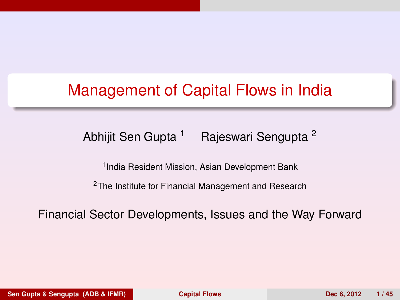## <span id="page-0-1"></span>Management of Capital Flows in India

#### Abhijit Sen Gupta<sup>1</sup> Rajeswari Sengupta<sup>2</sup>

<span id="page-0-0"></span>1 India Resident Mission, Asian Development Bank

<sup>2</sup>The Institute for Financial Management and Research

Financial Sector Developments, Issues and the Way Forward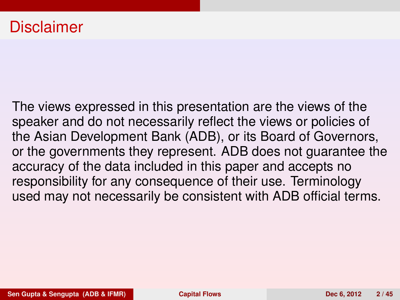#### Disclaimer

The views expressed in this presentation are the views of the speaker and do not necessarily reflect the views or policies of the Asian Development Bank (ADB), or its Board of Governors, or the governments they represent. ADB does not guarantee the accuracy of the data included in this paper and accepts no responsibility for any consequence of their use. Terminology used may not necessarily be consistent with ADB official terms.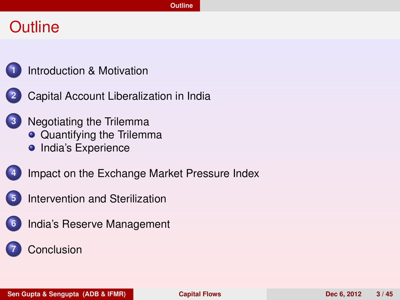#### **Outline**



**2** [Capital Account Liberalization in India](#page-16-0)

- **3** [Negotiating the Trilemma](#page-33-0)
	- [Quantifying the Trilemma](#page-39-0)
	- **•** [India's Experience](#page-0-1)



- **4** [Impact on the Exchange Market Pressure Index](#page-0-1)
- **5** [Intervention and Sterilization](#page-0-1)



<span id="page-2-0"></span>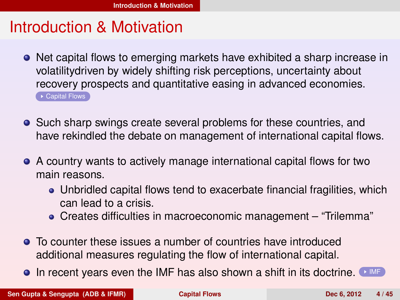#### Introduction & Motivation

- <span id="page-3-1"></span>• Net capital flows to emerging markets have exhibited a sharp increase in volatilitydriven by widely shifting risk perceptions, uncertainty about recovery prospects and quantitative easing in advanced economies. ► [Capital Flows](#page-22-0)
- Such sharp swings create several problems for these countries, and have rekindled the debate on management of international capital flows.
- A country wants to actively manage international capital flows for two main reasons.
	- Unbridled capital flows tend to exacerbate financial fragilities, which can lead to a crisis.
	- Creates difficulties in macroeconomic management "Trilemma"
- To counter these issues a number of countries have introduced additional measures regulating the flow of international capital.
- <span id="page-3-0"></span> $\bullet$  In recent years even the [IMF](#page-23-0) has also shown a shift in its doctrine.  $\bullet$  MF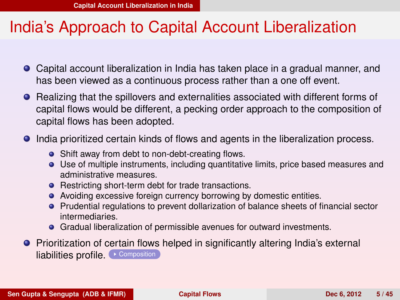#### India's Approach to Capital Account Liberalization

- Capital account liberalization in India has taken place in a gradual manner, and has been viewed as a continuous process rather than a one off event.
- **•** Realizing that the spillovers and externalities associated with different forms of capital flows would be different, a pecking order approach to the composition of capital flows has been adopted.
- India prioritized certain kinds of flows and agents in the liberalization process.
	- Shift away from debt to non-debt-creating flows.
	- Use of multiple instruments, including quantitative limits, price based measures and administrative measures.
	- Restricting short-term debt for trade transactions.
	- Avoiding excessive foreign currency borrowing by domestic entities.
	- Prudential regulations to prevent dollarization of balance sheets of financial sector intermediaries.
	- Gradual liberalization of permissible avenues for outward investments.
- <span id="page-4-0"></span>Prioritization of certain flows helped in significantly altering India's external liabilities profile. [Composition](#page-24-0)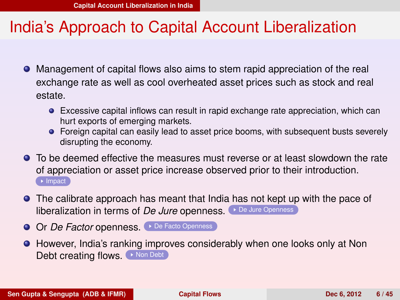#### India's Approach to Capital Account Liberalization

- Management of capital flows also aims to stem rapid appreciation of the real exchange rate as well as cool overheated asset prices such as stock and real estate.
	- Excessive capital inflows can result in rapid exchange rate appreciation, which can hurt exports of emerging markets.
	- **•** Foreign capital can easily lead to asset price booms, with subsequent busts severely disrupting the economy.
- To be deemed effective the measures must reverse or at least slowdown the rate of appreciation or asset price increase observed prior to their introduction.  $\rightarrow$  [Impact](#page-25-0)
- The calibrate approach has meant that India has not kept up with the pace of liberalization in terms of *De Jure* openness. [De Jure Openness](#page-26-0)
- O Or *De Factor* openness. [De Facto Openness](#page-27-0)
- <span id="page-5-0"></span>**•** However, India's ranking improves considerably when one looks only at Non Debt creating flows. [Non Debt](#page-28-0)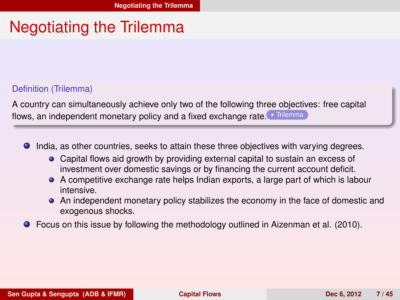#### Negotiating the Trilemma

#### Definition (Trilemma)

A country can simultaneously achieve only two of the following three objectives: free capital flows, an independent monetary policy and a fixed exchange rate. [Trilemma](#page-29-0)

- $\bullet$ India, as other countries, seeks to attain these three objectives with varying degrees.
	- Capital flows aid growth by providing external capital to sustain an excess of investment over domestic savings or by financing the current account deficit.
	- A competitive exchange rate helps Indian exports, a large part of which is labour intensive.
	- An independent monetary policy stabilizes the economy in the face of domestic and exogenous shocks.
- <span id="page-6-0"></span> $\bullet$ Focus on this issue by following the methodology outlined in Aizenman et al. (2010).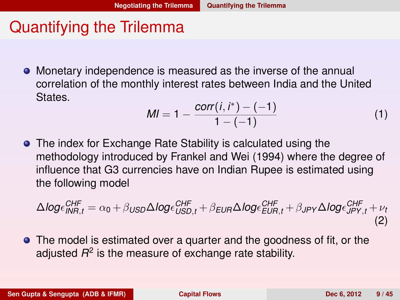#### Quantifying the Trilemma

Monetary independence is measured as the inverse of the annual correlation of the monthly interest rates between India and the United States.

<span id="page-7-0"></span>
$$
MI = 1 - \frac{corr(i, i^*) - (-1)}{1 - (-1)}
$$
 (1)

**•** The index for Exchange Rate Stability is calculated using the methodology introduced by Frankel and Wei (1994) where the degree of influence that G3 currencies have on Indian Rupee is estimated using the following model

$$
\Delta log \epsilon_{INR,t}^{CHF} = \alpha_0 + \beta_{USD} \Delta log \epsilon_{USD,t}^{CHF} + \beta_{EUR} \Delta log \epsilon_{EUR,t}^{CHF} + \beta_{JPY} \Delta log \epsilon_{JPY,t}^{CHF} + \nu_t
$$
\n(2)

**•** The model is estimated over a quarter and the goodness of fit, or the adjusted  $R^2$  is the measure of exchange rate stability.

**Sen Gupta & Sengupta (ADB & IFMR) [Capital Flows](#page-0-0) Dec 6, 2012 9 / 45**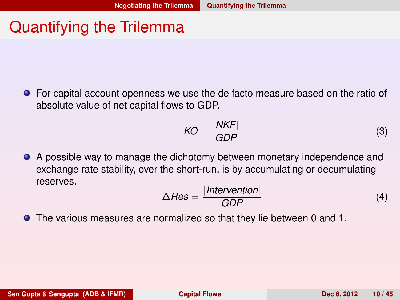#### Quantifying the Trilemma

For capital account openness we use the de facto measure based on the ratio of absolute value of net capital flows to GDP.

$$
KO = \frac{|NKF|}{GDP} \tag{3}
$$

A possible way to manage the dichotomy between monetary independence and exchange rate stability, over the short-run, is by accumulating or decumulating reserves.

<span id="page-8-0"></span>
$$
\Delta Res = \frac{|\text{Intervention}|}{GDP} \tag{4}
$$

The various measures are normalized so that they lie between 0 and 1.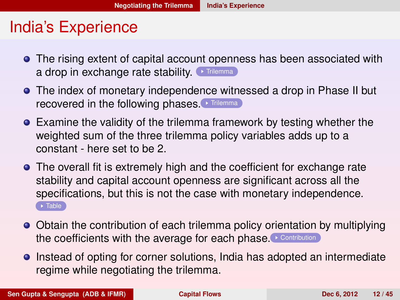#### India's Experience

- **•** The rising extent of capital account openness has been associated with a drop in exchange rate stability.  $\bullet$  [Trilemma](#page-30-0)
- The index of monetary independence witnessed a drop in Phase II but recovered in the following phases. [Trilemma](#page-31-0)
- Examine the validity of the trilemma framework by testing whether the weighted sum of the three trilemma policy variables adds up to a constant - here set to be 2.
- The overall fit is extremely high and the coefficient for exchange rate stability and capital account openness are significant across all the specifications, but this is not the case with monetary independence.  $\rightarrow$  [Table](#page-32-0)
- Obtain the contribution of each trilemma policy orientation by multiplying the coefficients with the average for each phase. [Contribution](#page-33-1)
- <span id="page-9-0"></span>Instead of opting for corner solutions, India has adopted an intermediate regime while negotiating the trilemma.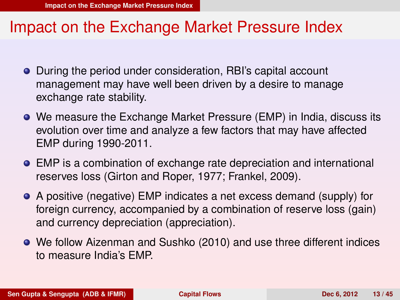- During the period under consideration, RBI's capital account management may have well been driven by a desire to manage exchange rate stability.
- We measure the Exchange Market Pressure (EMP) in India, discuss its evolution over time and analyze a few factors that may have affected EMP during 1990-2011.
- EMP is a combination of exchange rate depreciation and international reserves loss (Girton and Roper, 1977; Frankel, 2009).
- A positive (negative) EMP indicates a net excess demand (supply) for foreign currency, accompanied by a combination of reserve loss (gain) and currency depreciation (appreciation).
- <span id="page-10-0"></span>We follow Aizenman and Sushko (2010) and use three different indices to measure India's EMP.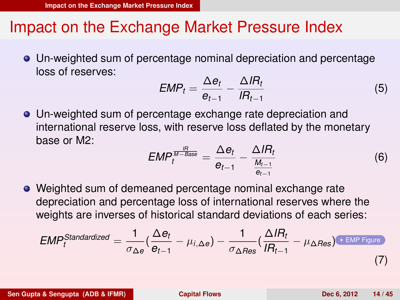Un-weighted sum of percentage nominal depreciation and percentage loss of reserves:

$$
EMP_t = \frac{\Delta e_t}{e_{t-1}} - \frac{\Delta I R_t}{I R_{t-1}}
$$
\n(5)

Un-weighted sum of percentage exchange rate depreciation and international reserve loss, with reserve loss deflated by the monetary base or M2:

<span id="page-11-0"></span>
$$
EMP_t^{\frac{lR}{M-Base}} = \frac{\Delta e_t}{e_{t-1}} - \frac{\Delta lR_t}{\frac{M_{t-1}}{e_{t-1}}}
$$
(6)

Weighted sum of demeaned percentage nominal exchange rate depreciation and percentage loss of international reserves where the weights are inverses of historical standard deviations of each series:

$$
EMP_t^{Standardized} = \frac{1}{\sigma_{\Delta e}} \left( \frac{\Delta e_t}{e_{t-1}} - \mu_{i,\Delta e} \right) - \frac{1}{\sigma_{\Delta Res}} \left( \frac{\Delta I R_t}{I R_{t-1}} - \mu_{\Delta Res} \right) \cdot \frac{\text{EMP Figure}}{\text{EMP Figure}} \tag{7}
$$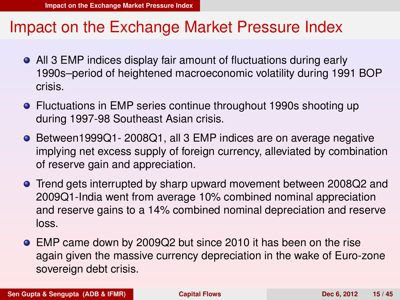- All 3 EMP indices display fair amount of fluctuations during early 1990s–period of heightened macroeconomic volatility during 1991 BOP crisis.
- Fluctuations in EMP series continue throughout 1990s shooting up during 1997-98 Southeast Asian crisis.
- Between1999Q1- 2008Q1, all 3 EMP indices are on average negative implying net excess supply of foreign currency, alleviated by combination of reserve gain and appreciation.
- Trend gets interrupted by sharp upward movement between 2008Q2 and 2009Q1-India went from average 10% combined nominal appreciation and reserve gains to a 14% combined nominal depreciation and reserve loss.
- <span id="page-12-0"></span>EMP came down by 2009Q2 but since 2010 it has been on the rise again given the massive currency depreciation in the wake of Euro-zone sovereign debt crisis.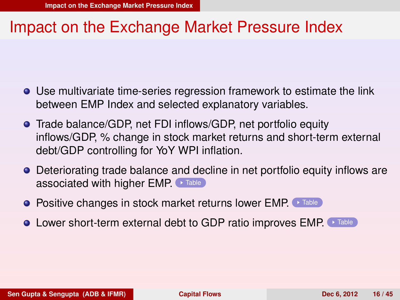- Use multivariate time-series regression framework to estimate the link between EMP Index and selected explanatory variables.
- Trade balance/GDP, net FDI inflows/GDP, net portfolio equity inflows/GDP, % change in stock market returns and short-term external debt/GDP controlling for YoY WPI inflation.
- Deteriorating trade balance and decline in net portfolio equity inflows are associated with higher EMP. [Table](#page-35-0)
- **Positive changes in stock market returns lower EMP.** [Table](#page-36-0)
- <span id="page-13-0"></span>**.** Lower short-term external debt to GDP ratio improves EMP. [Table](#page-37-0)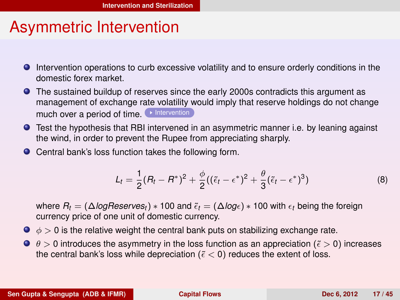#### Asymmetric Intervention

- <span id="page-14-2"></span>Intervention operations to curb excessive volatility and to ensure orderly conditions in the domestic forex market.
- The sustained buildup of reserves since the early 2000s contradicts this argument as management of exchange rate volatility would imply that reserve holdings do not change much over a period of time. [Intervention](#page-38-0)
- Test the hypothesis that RBI intervened in an asymmetric manner i.e. by leaning against the wind, in order to prevent the Rupee from appreciating sharply.
- Central bank's loss function takes the following form.

<span id="page-14-1"></span><span id="page-14-0"></span>
$$
L_t = \frac{1}{2}(R_t - R^*)^2 + \frac{\phi}{2}((\tilde{\epsilon}_t - \epsilon^*)^2 + \frac{\theta}{3}(\tilde{\epsilon}_t - \epsilon^*)^3)
$$
\n(8)

where  $R_t = (\Delta \log \text{Reserves}_t) * 100$  and  $\tilde{\epsilon}_t = (\Delta \log \epsilon) * 100$  with  $\epsilon_t$  being the foreign currency price of one unit of domestic currency.

- $\bullet \phi > 0$  is the relative weight the central bank puts on stabilizing exchange rate.
- $\bullet$   $\theta$  > 0 introduces the asymmetry in the loss function as an appreciation ( $\tilde{\epsilon}$  > 0) increases the central bank's loss while depreciation ( $\epsilon$  < 0) reduces the extent of loss.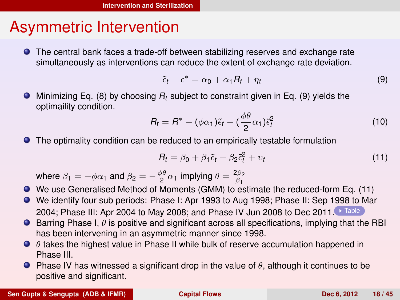#### Asymmetric Intervention

The central bank faces a trade-off between stabilizing reserves and exchange rate simultaneously as interventions can reduce the extent of exchange rate deviation.

<span id="page-15-1"></span>
$$
\tilde{\epsilon}_t - \epsilon^* = \alpha_0 + \alpha_1 R_t + \eta_t \tag{9}
$$

Minimizing Eq. [\(8\)](#page-14-1) by choosing *R<sup>t</sup>* subject to constraint given in Eq. [\(9\)](#page-15-1) yields the optimaility condition.

$$
R_t = R^* - (\phi \alpha_1) \tilde{\epsilon}_t - (\frac{\phi \theta}{2} \alpha_1) \tilde{\epsilon}_t^2
$$
 (10)

The optimality condition can be reduced to an empirically testable formulation

<span id="page-15-2"></span><span id="page-15-0"></span>
$$
R_t = \beta_0 + \beta_1 \tilde{\epsilon}_t + \beta_2 \tilde{\epsilon}_t^2 + v_t \tag{11}
$$

where  $\beta_1 = -\phi \alpha_1$  and  $\beta_2 = -\frac{\phi \theta}{2} \alpha_1$  implying  $\theta = \frac{2\beta_2}{\beta_1}$ 

- We use Generalised Method of Moments (GMM) to estimate the reduced-form Eq. [\(11\)](#page-15-2)
- We identify four sub periods: Phase I: Apr 1993 to Aug 1998; Phase II: Sep 1998 to Mar 2004; Phase III: Apr 2004 to May 2008; and Phase IV Jun 2008 to Dec 2011. [Table](#page-39-1)
- **Barring Phase I,**  $\theta$  **is positive and significant across all specifications, implying that the RBI** has been intervening in an asymmetric manner since 1998.
- $\bullet$   $\theta$  takes the highest value in Phase II while bulk of reserve accumulation happened in Phase III.
- **Phase IV has witnessed a significant drop in the value of**  $\theta$ **, although it continues to be** positive and significant.

**Sen Gupta & Sengupta (ADB & IFMR) [Capital Flows](#page-0-0) Capital Flows Dec 6, 2012** 18 / 45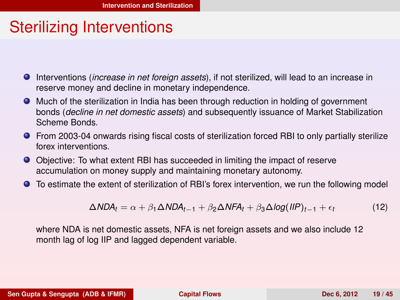#### Sterilizing Interventions

- Interventions (*increase in net foreign assets*), if not sterilized, will lead to an increase in reserve money and decline in monetary independence.
- Much of the sterilization in India has been through reduction in holding of government bonds (*decline in net domestic assets*) and subsequently issuance of Market Stabilization Scheme Bonds.
- **•** From 2003-04 onwards rising fiscal costs of sterilization forced RBI to only partially sterilize forex interventions.
- Objective: To what extent RBI has succeeded in limiting the impact of reserve accumulation on money supply and maintaining monetary autonomy.
- To estimate the extent of sterilization of RBI's forex intervention, we run the following model

<span id="page-16-0"></span>
$$
\Delta NDA_t = \alpha + \beta_1 \Delta NDA_{t-1} + \beta_2 \Delta NFA_t + \beta_3 \Delta log(IIP)_{t-1} + \epsilon_t
$$
 (12)

where NDA is net domestic assets, NFA is net foreign assets and we also include 12 month lag of log IIP and lagged dependent variable.

**Sen Gupta & Sengupta (ADB & IFMR) [Capital Flows](#page-0-0) Capital Flows Dec 6, 2012** 19/45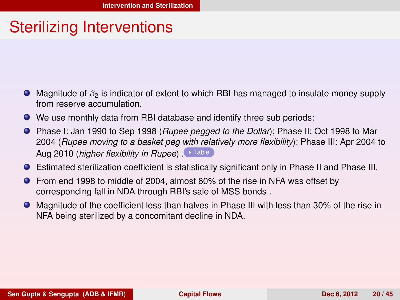#### Sterilizing Interventions

- $\bullet$  Magnitude of  $\beta_2$  is indicator of extent to which RBI has managed to insulate money supply from reserve accumulation.
- We use monthly data from RBI database and identify three sub periods:
- Phase I: Jan 1990 to Sep 1998 (*Rupee pegged to the Dollar*); Phase II: Oct 1998 to Mar 2004 (*Rupee moving to a basket peg with relatively more flexibility*); Phase III: Apr 2004 to Aug 2010 (*higher flexibility in Rupee*). [Table](#page-40-0)
- Estimated sterilization coefficient is statistically significant only in Phase II and Phase III.
- From end 1998 to middle of 2004, almost 60% of the rise in NFA was offset by corresponding fall in NDA through RBI's sale of MSS bonds .
- <span id="page-17-0"></span>Magnitude of the coefficient less than halves in Phase III with less than 30% of the rise in NFA being sterilized by a concomitant decline in NDA.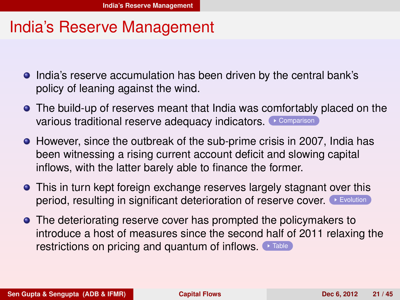#### India's Reserve Management

- **India's reserve accumulation has been driven by the central bank's** policy of leaning against the wind.
- The build-up of reserves meant that India was comfortably placed on the various traditional reserve adequacy indicators. [Comparison](#page-41-0)
- However, since the outbreak of the sub-prime crisis in 2007, India has been witnessing a rising current account deficit and slowing capital inflows, with the latter barely able to finance the former.
- This in turn kept foreign exchange reserves largely stagnant over this period, resulting in significant deterioration of reserve cover. [Evolution](#page-42-0)
- <span id="page-18-0"></span>**•** The deteriorating reserve cover has prompted the policymakers to introduce a host of measures since the second half of 2011 relaxing the restrictions on pricing and quantum of inflows.  $\bullet$  [Table](#page-0-1)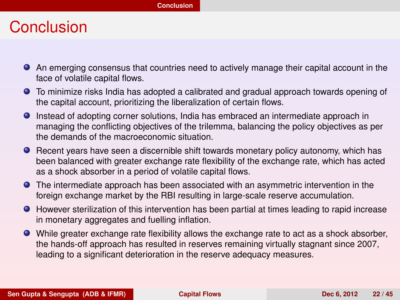#### Conclusion

- An emerging consensus that countries need to actively manage their capital account in the face of volatile capital flows.
- To minimize risks India has adopted a calibrated and gradual approach towards opening of the capital account, prioritizing the liberalization of certain flows.
- Instead of adopting corner solutions, India has embraced an intermediate approach in managing the conflicting objectives of the trilemma, balancing the policy objectives as per the demands of the macroeconomic situation.
- **Recent years have seen a discernible shift towards monetary policy autonomy, which has** been balanced with greater exchange rate flexibility of the exchange rate, which has acted as a shock absorber in a period of volatile capital flows.
- The intermediate approach has been associated with an asymmetric intervention in the foreign exchange market by the RBI resulting in large-scale reserve accumulation.
- $\bullet$  However sterilization of this intervention has been partial at times leading to rapid increase in monetary aggregates and fuelling inflation.
- <span id="page-19-0"></span>While greater exchange rate flexibility allows the exchange rate to act as a shock absorber, the hands-off approach has resulted in reserves remaining virtually stagnant since 2007, leading to a significant deterioration in the reserve adequacy measures.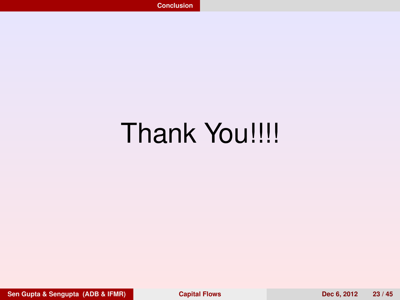# <span id="page-20-0"></span>Thank You!!!!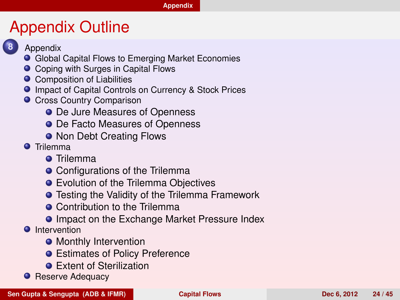#### **[Appendix](#page-21-0)**

#### Appendix Outline

- 
- **8** [Appendix](#page-0-1)
- [Global Capital Flows to Emerging Market Economies](#page-0-1)
- [Coping with Surges in Capital Flows](#page-0-1)
- **O** [Composition of Liabilities](#page-0-1)
- **O** [Impact of Capital Controls on Currency & Stock Prices](#page-0-1)
- **O** [Cross Country Comparison](#page-0-1)
	- [De Jure Measures of Openness](#page-0-1)
	- **O** [De Facto Measures of Openness](#page-0-1)
	- **[Non Debt Creating Flows](#page-0-1)**
- **O** [Trilemma](#page-0-1)
	- **O** [Trilemma](#page-0-1)
	- [Configurations of the Trilemma](#page-0-1)
	- **•** [Evolution of the Trilemma Objectives](#page-0-1)
	- **•** [Testing the Validity of the Trilemma Framework](#page-0-1)
	- **[Contribution to the Trilemma](#page-0-1)**
	- **[Impact on the Exchange Market Pressure Index](#page-0-1)**
- **O** [Intervention](#page-0-1)
	- **[Monthly Intervention](#page-0-1)**
	- **[Estimates of Policy Preference](#page-0-1)**
	- **•** [Extent of Sterilization](#page-0-1)
- <span id="page-21-0"></span>**• [Reserve Adequacy](#page-0-1)**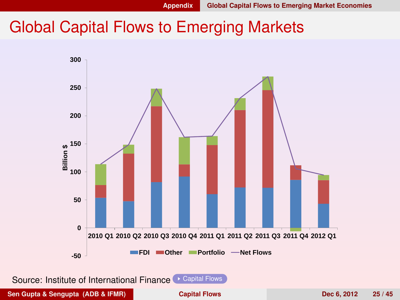#### Global Capital Flows to Emerging Markets

<span id="page-22-1"></span><span id="page-22-0"></span>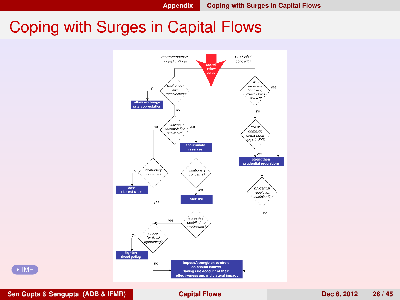### <span id="page-23-0"></span>Coping with Surges in Capital Flows 7



<span id="page-23-1"></span>

**Sen Gupta & Sengupta (ADB & IFMR) [Capital Flows](#page-0-0) Dec 6, 2012 26 / 45**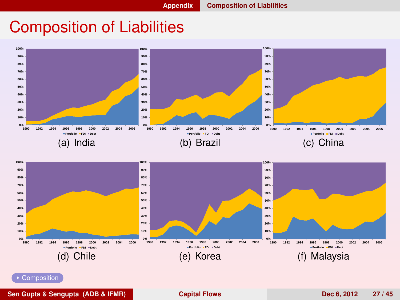#### Composition of Liabilities

<span id="page-24-0"></span>



<span id="page-24-1"></span>**[Composition](#page-0-1)** 

**Sen Gupta & Sengupta (ADB & IFMR) [Capital Flows](#page-0-0) Dec 6, 2012 27 / 45**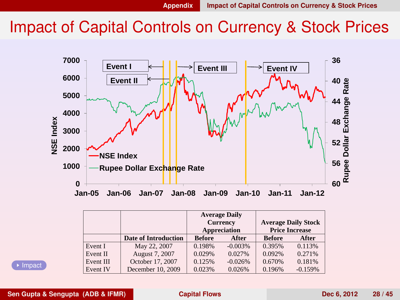#### Impact of Capital Controls on Currency & Stock Prices

<span id="page-25-0"></span>

<span id="page-25-1"></span>

|           |                             | <b>Average Daily</b><br><b>Currency</b><br>Appreciation |           | <b>Average Daily Stock</b><br><b>Price Increase</b> |           |
|-----------|-----------------------------|---------------------------------------------------------|-----------|-----------------------------------------------------|-----------|
|           | <b>Date of Introduction</b> | <b>Before</b>                                           | After     | <b>Before</b>                                       | After     |
| Event I   | May 22, 2007                | 0.198%                                                  | $-0.003%$ | 0.395%                                              | 0.113%    |
| Event II  | August 7, 2007              | 0.029%                                                  | 0.027%    | 0.092%                                              | 0.271%    |
| Event III | October 17, 2007            | 0.125%                                                  | $-0.026%$ | 0.670%                                              | 0.181%    |
| Event IV  | December 10, 2009           | 0.023%                                                  | 0.026%    | 0.196%                                              | $-0.159%$ |

**▶ [Impact](#page-0-1)**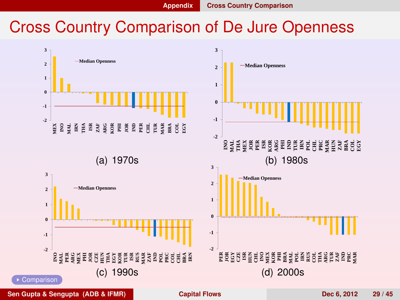#### Cross Country Comparison of De Jure Openness

<span id="page-26-0"></span>

<span id="page-26-1"></span>**Sen Gupta & Sengupta (ADB & IFMR) [Capital Flows](#page-0-0) Dec 6, 2012 29 / 45**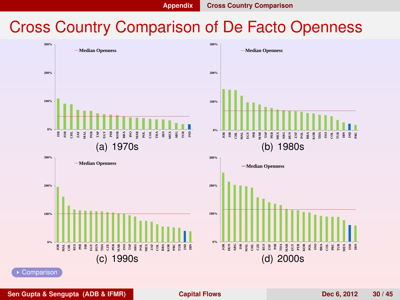<span id="page-27-1"></span>

#### Cross Country Comparison of De Facto Openness

<span id="page-27-0"></span>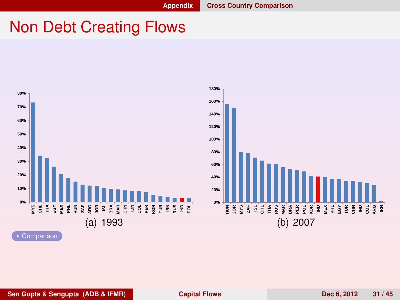#### Non Debt Creating Flows

<span id="page-28-0"></span>

<span id="page-28-1"></span>**Sen Gupta & Sengupta (ADB & IFMR) [Capital Flows](#page-0-0) Dec 6, 2012 31 / 45**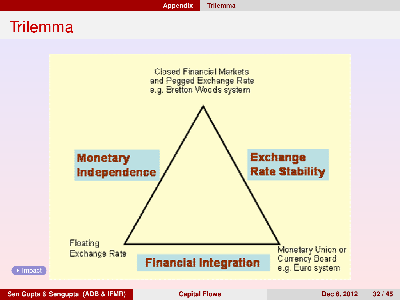#### **Trilemma**

<span id="page-29-1"></span><span id="page-29-0"></span>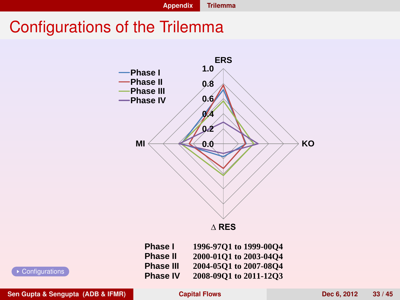#### <span id="page-30-0"></span>Configurations of the Trilemma



<span id="page-30-1"></span>

| Phase I          | 1996-97Q1 to 1999-00Q4 |
|------------------|------------------------|
| <b>Phase II</b>  | 2000-01Q1 to 2003-04Q4 |
| <b>Phase III</b> | 2004-05O1 to 2007-08O4 |
| <b>Phase IV</b>  | 2008-09Q1 to 2011-12Q3 |

**[Configurations](#page-0-1)** 

**Sen Gupta & Sengupta (ADB & IFMR) [Capital Flows](#page-0-0) Dec 6, 2012 33 / 45**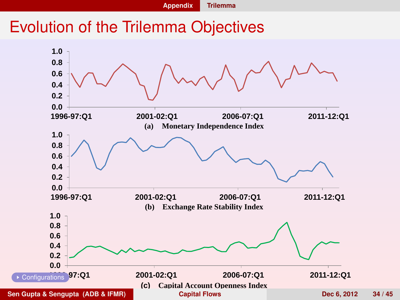<span id="page-31-1"></span>

#### Evolution of the Trilemma Objectives

<span id="page-31-0"></span>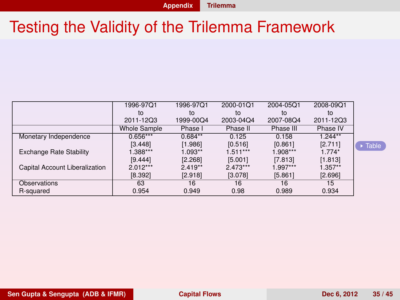## Testing the Validity of the Trilemma Framework

<span id="page-32-0"></span>

|                                | 1996-97Q1           | 1996-97Q1 | 2000-01Q1  | 2004-05Q1  | 2008-09Q1 |
|--------------------------------|---------------------|-----------|------------|------------|-----------|
|                                | to                  | to        | to         | to         | to        |
|                                | 2011-12Q3           | 1999-00Q4 | 2003-04Q4  | 2007-08Q4  | 2011-12Q3 |
|                                | <b>Whole Sample</b> | Phase I   | Phase II   | Phase III  | Phase IV  |
| Monetary Independence          | $0.656***$          | $0.684**$ | 0.125      | 0.158      | $1.244**$ |
|                                | [3.448]             | [1.986]   | [0.516]    | [0.861]    | [2.711]   |
| <b>Exchange Rate Stability</b> | $.388***$           | $1.093**$ | $1.511***$ | 1.908***   | $1.774*$  |
|                                | [9.444]             | [2.268]   | [5.001]    | [7.813]    | [1.813]   |
| Capital Account Liberalization | $2.012***$          | $2.419**$ | $2.473***$ | $1.997***$ | $1.357**$ |
|                                | [8.392]             | [2.918]   | [3.078]    | [5.861]    | [2.696]   |
| Observations                   | 63                  | 16        | 16         | 16         | 15        |
| R-squared                      | 0.954               | 0.949     | 0.98       | 0.989      | 0.934     |

<span id="page-32-1"></span> $\overline{\phantom{a}}$  [Table](#page-0-1)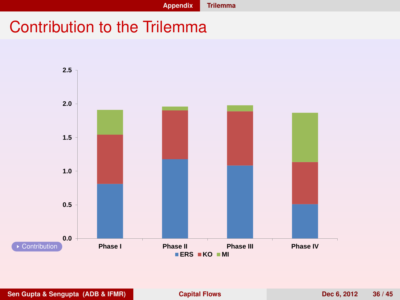<span id="page-33-0"></span>

#### Contribution to the Trilemma

<span id="page-33-1"></span>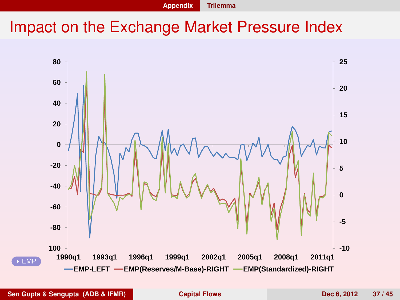<span id="page-34-0"></span>

<span id="page-34-1"></span>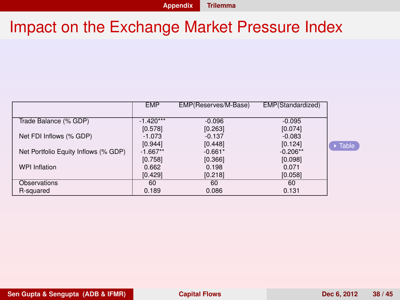<span id="page-35-0"></span>

|                                      | <b>EMP</b>  | EMP(Reserves/M-Base) | EMP(Standardized) |
|--------------------------------------|-------------|----------------------|-------------------|
|                                      |             |                      |                   |
| Trade Balance (% GDP)                | $-1.420***$ | $-0.096$             | $-0.095$          |
|                                      | [0.578]     | [0.263]              | [0.074]           |
| Net FDI Inflows (% GDP)              | $-1.073$    | $-0.137$             | $-0.083$          |
|                                      | [0.944]     | [0.448]              | [0.124]           |
| Net Portfolio Equity Inflows (% GDP) | $-1.667**$  | $-0.661*$            | $-0.206**$        |
|                                      | [0.758]     | [0.366]              | [0.098]           |
| <b>WPI Inflation</b>                 | 0.662       | 0.198                | 0.071             |
|                                      | [0.429]     | [0.218]              | [0.058]           |
| Observations                         | 60          | 60                   | 60                |
| R-squared                            | 0.189       | 0.086                | 0.131             |

<span id="page-35-1"></span>[Table](#page-0-1)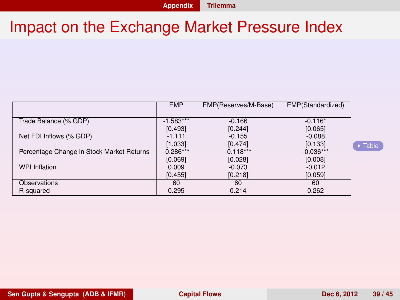<span id="page-36-0"></span>

|                                           | <b>EMP</b>  | EMP(Reserves/M-Base) | EMP(Standardized) |
|-------------------------------------------|-------------|----------------------|-------------------|
|                                           |             |                      |                   |
| Trade Balance (% GDP)                     | $-1.583***$ | $-0.166$             | $-0.116*$         |
|                                           | [0.493]     | [0.244]              | [0.065]           |
| Net FDI Inflows (% GDP)                   | $-1.111$    | $-0.155$             | $-0.088$          |
|                                           | [1.033]     | [0.474]              | [0.133]           |
| Percentage Change in Stock Market Returns | $-0.286***$ | $-0.118***$          | $-0.036***$       |
|                                           | [0.069]     | [0.028]              | [0.008]           |
| <b>WPI Inflation</b>                      | 0.009       | $-0.073$             | $-0.012$          |
|                                           | [0.455]     | [0.218]              | [0.059]           |
| Observations                              | 60          | 60                   | 60                |
| R-squared                                 | 0.295       | 0.214                | 0.262             |

<span id="page-36-1"></span> $\overline{\triangleright}$  [Table](#page-0-1)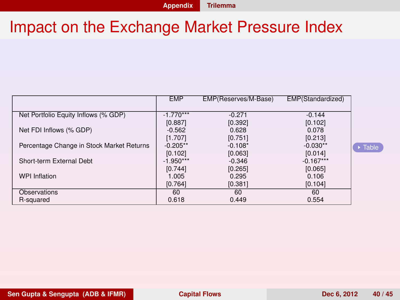<span id="page-37-0"></span>

|                                           | <b>EMP</b>  | EMP(Reserves/M-Base) | EMP(Standardized) |
|-------------------------------------------|-------------|----------------------|-------------------|
|                                           |             |                      |                   |
| Net Portfolio Equity Inflows (% GDP)      | $-1.770***$ | $-0.271$             | $-0.144$          |
|                                           | [0.887]     | [0.392]              | [0.102]           |
| Net FDI Inflows (% GDP)                   | $-0.562$    | 0.628                | 0.078             |
|                                           | [1.707]     | [0.751]              | [0.213]           |
| Percentage Change in Stock Market Returns | $-0.205**$  | $-0.108*$            | $-0.030**$        |
|                                           | [0.102]     | [0.063]              | [0.014]           |
| Short-term External Debt                  | $-1.950***$ | $-0.346$             | $-0.167***$       |
|                                           | [0.744]     | [0.265]              | [0.065]           |
| <b>WPI Inflation</b>                      | 1.005       | 0.295                | 0.106             |
|                                           | [0.764]     | [0.381]              | [0.104]           |
| Observations                              | 60          | 60                   | 60                |
| R-squared                                 | 0.618       | 0.449                | 0.554             |

<span id="page-37-1"></span> $\overline{\triangleright}$  [Table](#page-0-1)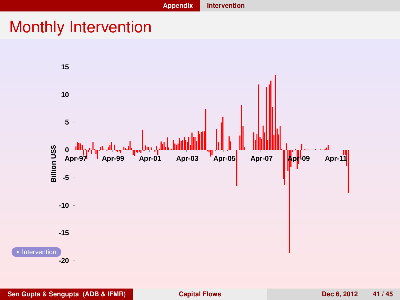#### Monthly Intervention

<span id="page-38-1"></span><span id="page-38-0"></span>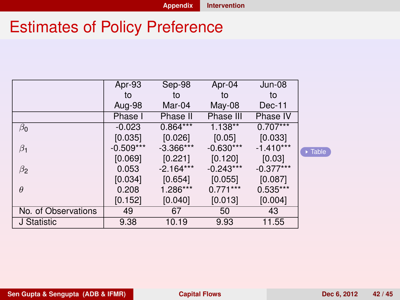## Estimates of Policy Preference

<span id="page-39-1"></span>

|                     | Apr-93      | Sep-98      | Apr-04      | $Jun-08$    |
|---------------------|-------------|-------------|-------------|-------------|
|                     | to          | to          | to          | to          |
|                     | Aug-98      | Mar-04      | May-08      | $Dec-11$    |
|                     | Phase I     | Phase II    | Phase III   | Phase IV    |
| $\beta_0$           | $-0.023$    | $0.864***$  | $1.138**$   | $0.707***$  |
|                     | [0.035]     | [0.026]     | [0.05]      | [0.033]     |
| $\beta_1$           | $-0.509***$ | $-3.366***$ | $-0.630***$ | $-1.410***$ |
|                     | [0.069]     | [0.221]     | [0.120]     | [0.03]      |
| $\beta_2$           | 0.053       | $-2.164***$ | $-0.243***$ | $-0.377***$ |
|                     | [0.034]     | [0.654]     | [0.055]     | [0.087]     |
| $\theta$            | 0.208       | 1.286***    | $0.771***$  | $0.535***$  |
|                     | [0.152]     | [0.040]     | [0.013]     | [0.004]     |
| No. of Observations | 49          | 67          | 50          | 43          |
| J Statistic         | 9.38        | 10.19       | 9.93        | 11.55       |

<span id="page-39-0"></span>[Table](#page-0-1)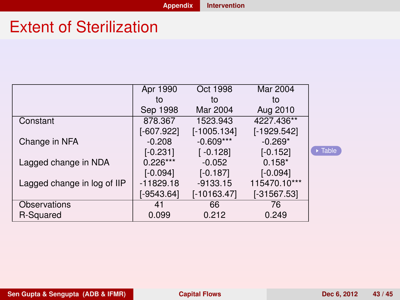#### <span id="page-40-1"></span>**[Appendix](#page-40-1) [Intervention](#page-40-1)**

#### Extent of Sterilization

<span id="page-40-0"></span>

|                             | Apr 1990     | Oct 1998      | Mar 2004      |                        |
|-----------------------------|--------------|---------------|---------------|------------------------|
|                             | to           | to            | to            |                        |
|                             | Sep 1998     | Mar 2004      | Aug 2010      |                        |
| Constant                    | 878.367      | 1523.943      | 4227.436**    |                        |
|                             | $[-607.922]$ | $[-1005.134]$ | $[-1929.542]$ |                        |
| Change in NFA               | $-0.208$     | $-0.609***$   | $-0.269*$     |                        |
|                             | $[-0.231]$   | $[-0.128]$    | $[-0.152]$    | $\triangleright$ Table |
| Lagged change in NDA        | $0.226***$   | $-0.052$      | $0.158*$      |                        |
|                             | $[-0.094]$   | $[-0.187]$    | $[-0.094]$    |                        |
| Lagged change in log of IIP | $-11829.18$  | $-9133.15$    | 115470.10***  |                        |
|                             | [-9543.64]   | $[-10163.47]$ | $[-31567.53]$ |                        |
| Observations                | 41           | 66            | 76            |                        |
| R-Squared                   | 0.099        | 0.212         | 0.249         |                        |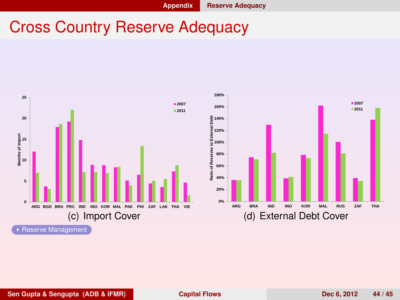#### Cross Country Reserve Adequacy

<span id="page-41-1"></span><span id="page-41-0"></span>